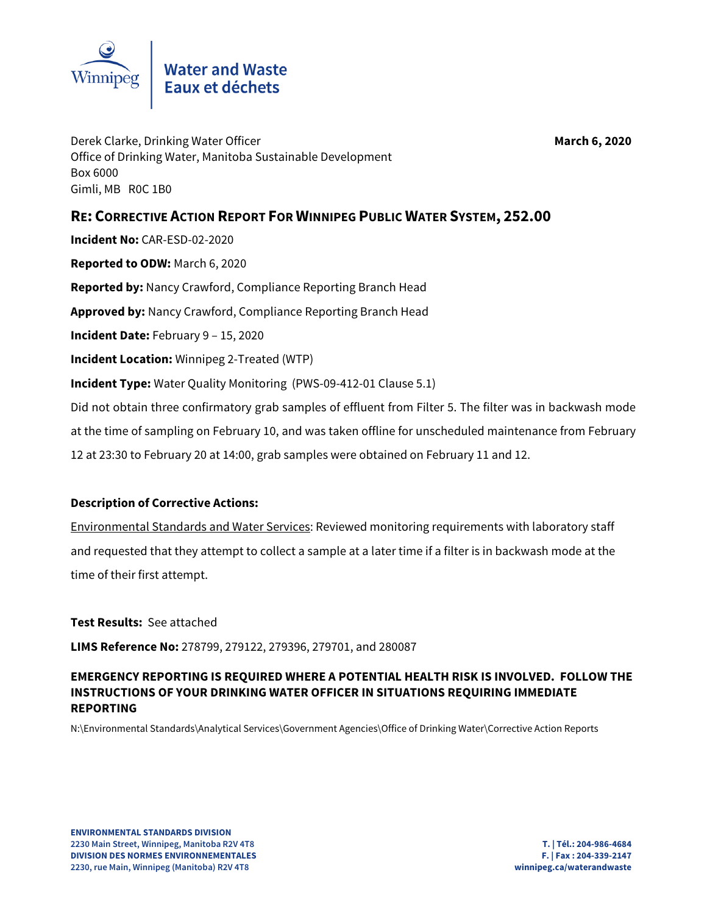

Derek Clarke, Drinking Water Officer **March 6, 2020** Office of Drinking Water, Manitoba Sustainable Development Box 6000 Gimli, MB R0C 1B0

## **RE: CORRECTIVE ACTION REPORT FOR WINNIPEG PUBLIC WATER SYSTEM, 252.00**

**Incident No:** CAR-ESD-02-2020 **Reported to ODW:** March 6, 2020 **Reported by:** Nancy Crawford, Compliance Reporting Branch Head **Approved by:** Nancy Crawford, Compliance Reporting Branch Head **Incident Date:** February 9 – 15, 2020 **Incident Location:** Winnipeg 2-Treated (WTP) **Incident Type:** Water Quality Monitoring (PWS-09-412-01 Clause 5.1) Did not obtain three confirmatory grab samples of effluent from Filter 5. The filter was in backwash mode at the time of sampling on February 10, and was taken offline for unscheduled maintenance from February 12 at 23:30 to February 20 at 14:00, grab samples were obtained on February 11 and 12.

## **Description of Corrective Actions:**

Environmental Standards and Water Services: Reviewed monitoring requirements with laboratory staff and requested that they attempt to collect a sample at a later time if a filter is in backwash mode at the time of their first attempt.

**Test Results:** See attached

**LIMS Reference No:** 278799, 279122, 279396, 279701, and 280087

## **EMERGENCY REPORTING IS REQUIRED WHERE A POTENTIAL HEALTH RISK IS INVOLVED. FOLLOW THE INSTRUCTIONS OF YOUR DRINKING WATER OFFICER IN SITUATIONS REQUIRING IMMEDIATE REPORTING**

N:\Environmental Standards\Analytical Services\Government Agencies\Office of Drinking Water\Corrective Action Reports